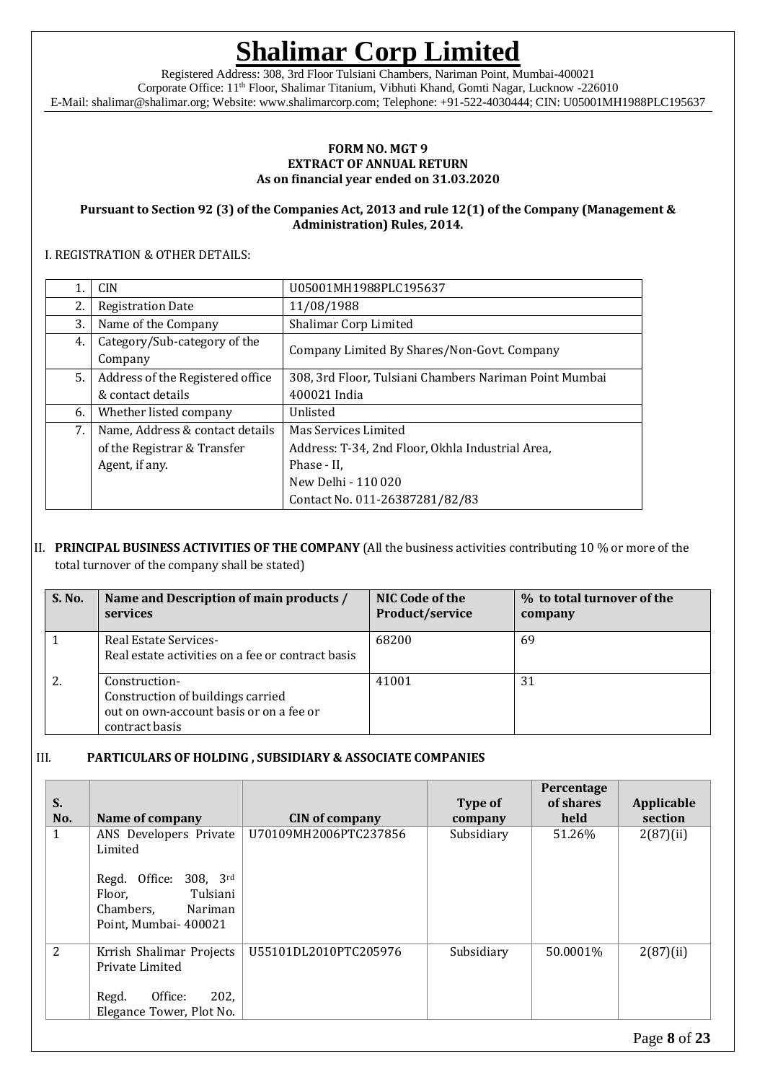Registered Address: 308, 3rd Floor Tulsiani Chambers, Nariman Point, Mumbai-400021 Corporate Office: 11th Floor, Shalimar Titanium, Vibhuti Khand, Gomti Nagar, Lucknow -226010 E-Mail: shalimar@shalimar.org; Website: www.shalimarcorp.com; Telephone: +91-522-4030444; CIN: U05001MH1988PLC195637

#### **FORM NO. MGT 9 EXTRACT OF ANNUAL RETURN As on financial year ended on 31.03.2020**

#### **Pursuant to Section 92 (3) of the Companies Act, 2013 and rule 12(1) of the Company (Management & Administration) Rules, 2014.**

#### I. REGISTRATION & OTHER DETAILS:

|    | <b>CIN</b>                              | U05001MH1988PLC195637                                  |
|----|-----------------------------------------|--------------------------------------------------------|
| 2. | <b>Registration Date</b>                | 11/08/1988                                             |
| 3. | Name of the Company                     | Shalimar Corp Limited                                  |
| 4. | Category/Sub-category of the<br>Company | Company Limited By Shares/Non-Govt. Company            |
| 5. | Address of the Registered office        | 308, 3rd Floor, Tulsiani Chambers Nariman Point Mumbai |
|    | & contact details                       | 400021 India                                           |
| 6. | Whether listed company                  | Unlisted                                               |
| 7. | Name, Address & contact details         | Mas Services Limited                                   |
|    | of the Registrar & Transfer             | Address: T-34, 2nd Floor, Okhla Industrial Area,       |
|    | Agent, if any.                          | Phase - II.                                            |
|    |                                         | New Delhi - 110 020                                    |
|    |                                         | Contact No. 011-26387281/82/83                         |

#### II. **PRINCIPAL BUSINESS ACTIVITIES OF THE COMPANY** (All the business activities contributing 10 % or more of the total turnover of the company shall be stated)

| S. No. | Name and Description of main products /<br>services                                                             | NIC Code of the<br>Product/service | % to total turnover of the<br>company |
|--------|-----------------------------------------------------------------------------------------------------------------|------------------------------------|---------------------------------------|
|        | <b>Real Estate Services-</b><br>Real estate activities on a fee or contract basis                               | 68200                              | 69                                    |
| 2.     | Construction-<br>Construction of buildings carried<br>out on own-account basis or on a fee or<br>contract basis | 41001                              | 31                                    |

### III. **PARTICULARS OF HOLDING , SUBSIDIARY & ASSOCIATE COMPANIES**

| S.  |                                                                                                                                   |                       | Type of    | Percentage<br>of shares | Applicable |
|-----|-----------------------------------------------------------------------------------------------------------------------------------|-----------------------|------------|-------------------------|------------|
| No. | Name of company                                                                                                                   | <b>CIN</b> of company | company    | held                    | section    |
| 1   | ANS Developers Private<br>Limited<br>Regd. Office: 308, 3rd<br>Tulsiani<br>Floor,<br>Chambers.<br>Nariman<br>Point, Mumbai-400021 | U70109MH2006PTC237856 | Subsidiary | 51.26%                  | 2(87)(ii)  |
| 2   | Krrish Shalimar Projects<br>Private Limited<br>202,<br>Office:<br>Regd.<br>Elegance Tower, Plot No.                               | U55101DL2010PTC205976 | Subsidiary | 50.0001%                | 2(87)(ii)  |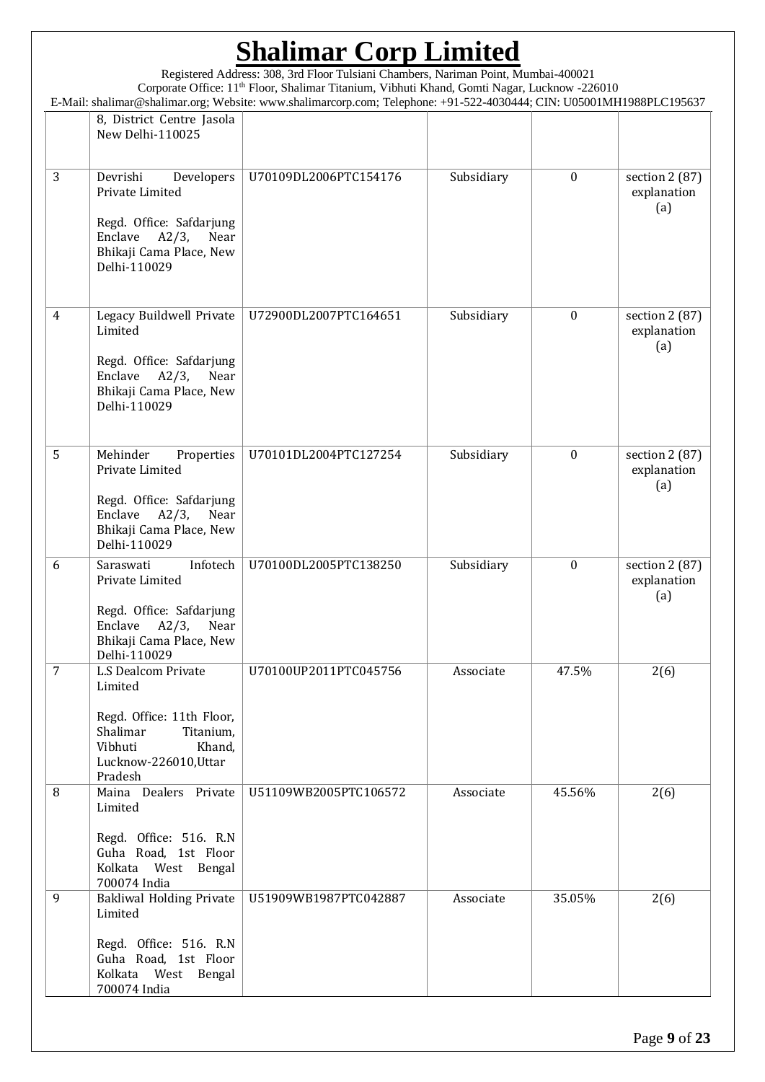Registered Address: 308, 3rd Floor Tulsiani Chambers, Nariman Point, Mumbai-400021 Corporate Office: 11th Floor, Shalimar Titanium, Vibhuti Khand, Gomti Nagar, Lucknow -226010 E-Mail: shalimar@shalimar.org; Website: www.shalimarcorp.com; Telephone: +91-522-4030444; CIN: U05001MH1988PLC195637

|                | 8, District Centre Jasola<br>New Delhi-110025                                                                                                        |                       |            |                  |                                       |
|----------------|------------------------------------------------------------------------------------------------------------------------------------------------------|-----------------------|------------|------------------|---------------------------------------|
| 3              | Devrishi<br>Developers<br>Private Limited<br>Regd. Office: Safdarjung<br>Enclave<br>$A2/3$ ,<br>Near<br>Bhikaji Cama Place, New<br>Delhi-110029      | U70109DL2006PTC154176 | Subsidiary | $\mathbf{0}$     | section $2(87)$<br>explanation<br>(a) |
| $\overline{4}$ | Legacy Buildwell Private<br>Limited<br>Regd. Office: Safdarjung<br>Enclave<br>$A2/3$ ,<br>Near<br>Bhikaji Cama Place, New<br>Delhi-110029            | U72900DL2007PTC164651 | Subsidiary | $\mathbf{0}$     | section 2 (87)<br>explanation<br>(a)  |
| 5              | Mehinder<br>Properties<br>Private Limited<br>Regd. Office: Safdarjung<br>Enclave<br>$A2/3$ ,<br>Near<br>Bhikaji Cama Place, New<br>Delhi-110029      | U70101DL2004PTC127254 | Subsidiary | $\mathbf{0}$     | section 2 (87)<br>explanation<br>(a)  |
| 6              | Infotech<br>Saraswati<br>Private Limited<br>Regd. Office: Safdarjung<br>Enclave<br>$A2/3$ , Near<br>Bhikaji Cama Place, New<br>Delhi-110029          | U70100DL2005PTC138250 | Subsidiary | $\boldsymbol{0}$ | section 2 (87)<br>explanation<br>(a)  |
| $\overline{7}$ | <b>L.S Dealcom Private</b><br>Limited<br>Regd. Office: 11th Floor,<br>Shalimar<br>Titanium,<br>Vibhuti<br>Khand,<br>Lucknow-226010, Uttar<br>Pradesh | U70100UP2011PTC045756 | Associate  | 47.5%            | 2(6)                                  |
| 8              | Maina Dealers Private<br>Limited<br>Regd. Office: 516. R.N.<br>Guha Road, 1st Floor<br>Kolkata West Bengal<br>700074 India                           | U51109WB2005PTC106572 | Associate  | 45.56%           | 2(6)                                  |
| 9              | <b>Bakliwal Holding Private</b><br>Limited<br>Regd. Office: 516. R.N.<br>Guha Road, 1st Floor<br>Kolkata West Bengal<br>700074 India                 | U51909WB1987PTC042887 | Associate  | 35.05%           | 2(6)                                  |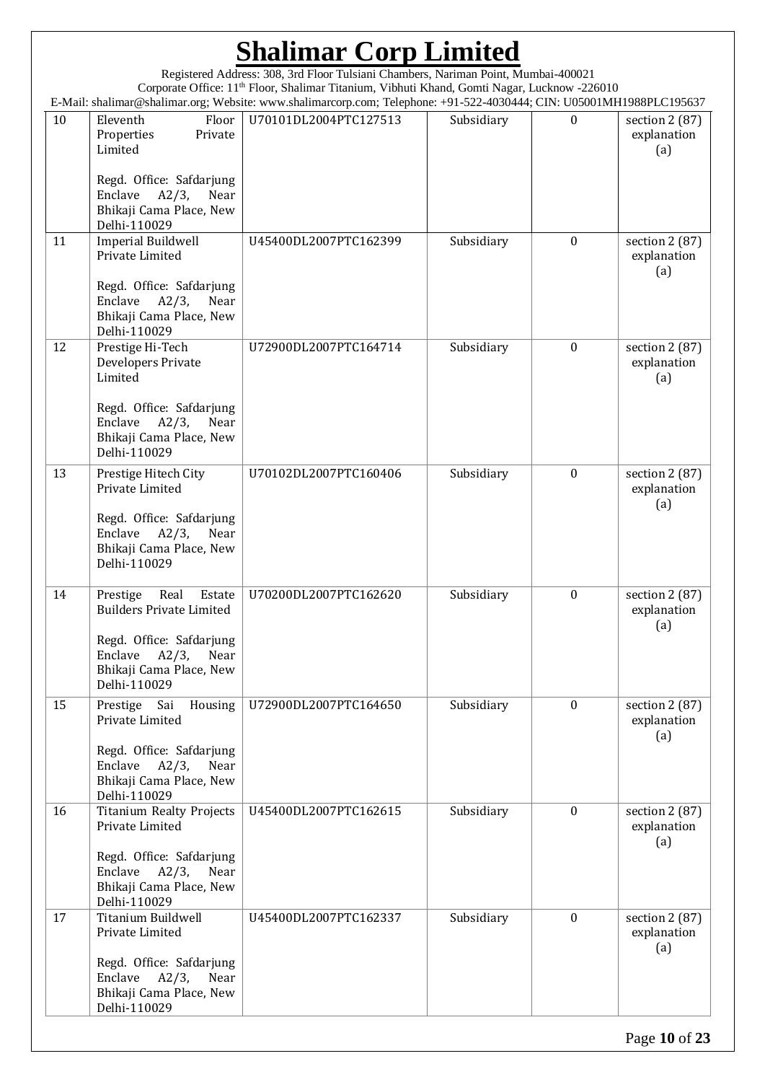#### **Shalimar Corp Limited** Registered Address: 308, 3rd Floor Tulsiani Chambers, Nariman Point, Mumbai-400021 Corporate Office: 11th Floor, Shalimar Titanium, Vibhuti Khand, Gomti Nagar, Lucknow -226010 E-Mail: shalimar@shalimar.org; Website: www.shalimarcorp.com; Telephone: +91-522-4030444; CIN: U05001MH1988PLC195637 10 Eleventh Floor Properties Private Limited Regd. Office: Safdarjung Enclave A2/3, Near Bhikaji Cama Place, New Delhi-110029 U70101DL2004PTC127513 | Subsidiary | 0 | section 2 (87) explanation (a) 11 | Imperial Buildwell Private Limited Regd. Office: Safdarjung Enclave A2/3, Near Bhikaji Cama Place, New Delhi-110029 U45400DL2007PTC162399 | Subsidiary | 0 | section 2 (87) explanation (a) 12 Prestige Hi-Tech Developers Private Limited Regd. Office: Safdarjung Enclave A2/3, Near Bhikaji Cama Place, New Delhi-110029 U72900DL2007PTC164714 | Subsidiary | 0 | section 2 (87) explanation (a) 13 Prestige Hitech City Private Limited Regd. Office: Safdarjung Enclave A2/3, Near Bhikaji Cama Place, New Delhi-110029 U70102DL2007PTC160406 | Subsidiary | 0 | section 2 (87) explanation (a) 14 Prestige Real Estate Builders Private Limited Regd. Office: Safdarjung Enclave A2/3, Near Bhikaji Cama Place, New Delhi-110029 U70200DL2007PTC162620 | Subsidiary | 0 | section 2 (87) explanation (a) 15 | Prestige Sai Housing Private Limited Regd. Office: Safdarjung Enclave A2/3, Near Bhikaji Cama Place, New Delhi-110029 U72900DL2007PTC164650 Subsidiary 0 | section 2 (87) explanation (a) 16 | Titanium Realty Projects Private Limited Regd. Office: Safdarjung Enclave A2/3, Near Bhikaji Cama Place, New Delhi-110029 U45400DL2007PTC162615 Subsidiary 0 section 2 (87) explanation (a) 17 Titanium Buildwell Private Limited Regd. Office: Safdarjung Enclave A2/3, Near Bhikaji Cama Place, New Delhi-110029 U45400DL2007PTC162337 Subsidiary 0 section 2 (87) explanation (a)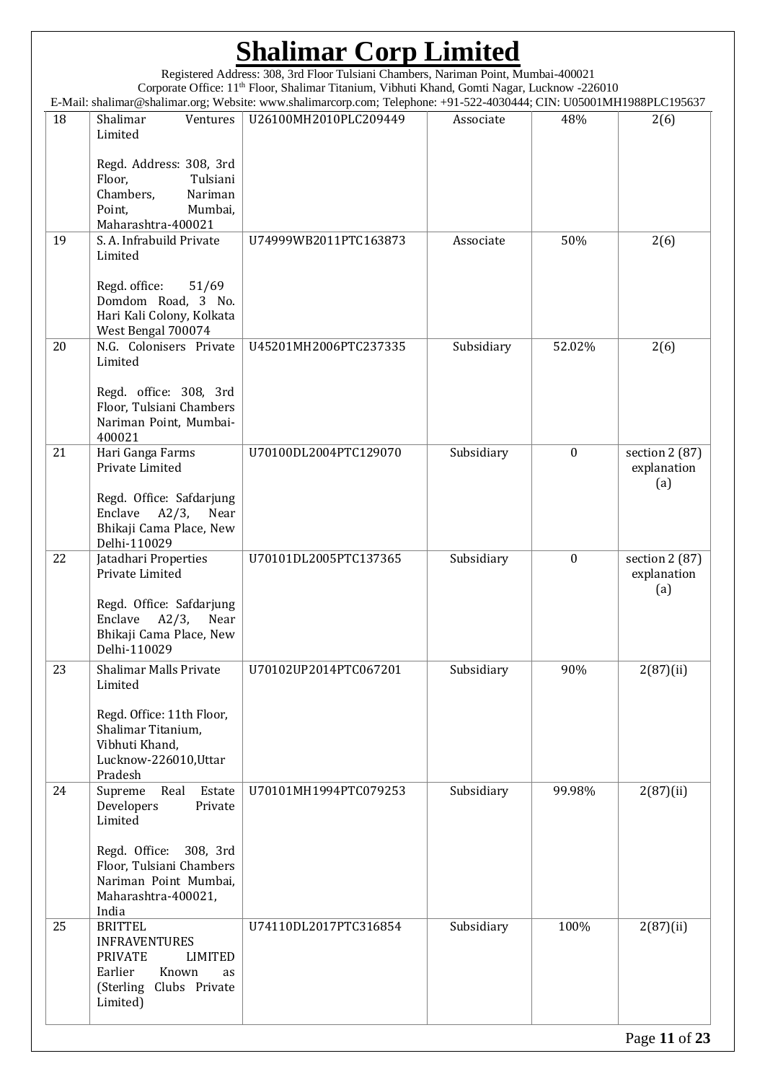Registered Address: 308, 3rd Floor Tulsiani Chambers, Nariman Point, Mumbai-400021 Corporate Office: 11th Floor, Shalimar Titanium, Vibhuti Khand, Gomti Nagar, Lucknow -226010 E-Mail: shalimar@shalimar.org; Website: www.shalimarcorp.com; Telephone: +91-522-4030444; CIN: U05001MH1988PLC195637

| 18 | Shalimar<br>Ventures<br>Limited                                                                                                                                                 | U26100MH2010PLC209449 | Associate  | 48%              | 2(6)                                 |
|----|---------------------------------------------------------------------------------------------------------------------------------------------------------------------------------|-----------------------|------------|------------------|--------------------------------------|
|    | Regd. Address: 308, 3rd<br>Floor,<br>Tulsiani<br>Chambers,<br>Nariman<br>Point,<br>Mumbai,<br>Maharashtra-400021                                                                |                       |            |                  |                                      |
| 19 | S. A. Infrabuild Private<br>Limited<br>Regd. office:<br>51/69<br>Domdom Road, 3 No.<br>Hari Kali Colony, Kolkata                                                                | U74999WB2011PTC163873 | Associate  | 50%              | 2(6)                                 |
| 20 | West Bengal 700074<br>N.G. Colonisers Private<br>Limited                                                                                                                        | U45201MH2006PTC237335 | Subsidiary | 52.02%           | 2(6)                                 |
|    | Regd. office: 308, 3rd<br>Floor, Tulsiani Chambers<br>Nariman Point, Mumbai-<br>400021                                                                                          |                       |            |                  |                                      |
| 21 | Hari Ganga Farms<br>Private Limited<br>Regd. Office: Safdarjung<br>Enclave                                                                                                      | U70100DL2004PTC129070 | Subsidiary | $\boldsymbol{0}$ | section 2 (87)<br>explanation<br>(a) |
| 22 | $A2/3$ , Near<br>Bhikaji Cama Place, New<br>Delhi-110029                                                                                                                        | U70101DL2005PTC137365 | Subsidiary | $\boldsymbol{0}$ |                                      |
|    | Jatadhari Properties<br>Private Limited<br>Regd. Office: Safdarjung<br>Enclave<br>$A2/3$ ,<br>Near<br>Bhikaji Cama Place, New<br>Delhi-110029                                   |                       |            |                  | section 2 (87)<br>explanation<br>(a) |
| 23 | <b>Shalimar Malls Private</b><br>Limited<br>Regd. Office: 11th Floor,<br>Shalimar Titanium,<br>Vibhuti Khand,<br>Lucknow-226010, Uttar<br>Pradesh                               | U70102UP2014PTC067201 | Subsidiary | 90%              | 2(87)(ii)                            |
| 24 | Supreme<br>Real<br>Estate<br>Developers<br>Private<br>Limited<br>Regd. Office:<br>308, 3rd<br>Floor, Tulsiani Chambers<br>Nariman Point Mumbai,<br>Maharashtra-400021,<br>India | U70101MH1994PTC079253 | Subsidiary | 99.98%           | $2(87)$ (ii)                         |
| 25 | <b>BRITTEL</b><br><b>INFRAVENTURES</b><br><b>PRIVATE</b><br><b>LIMITED</b><br>Earlier<br>Known<br>as<br>(Sterling Clubs Private<br>Limited)                                     | U74110DL2017PTC316854 | Subsidiary | 100%             | 2(87)(ii)                            |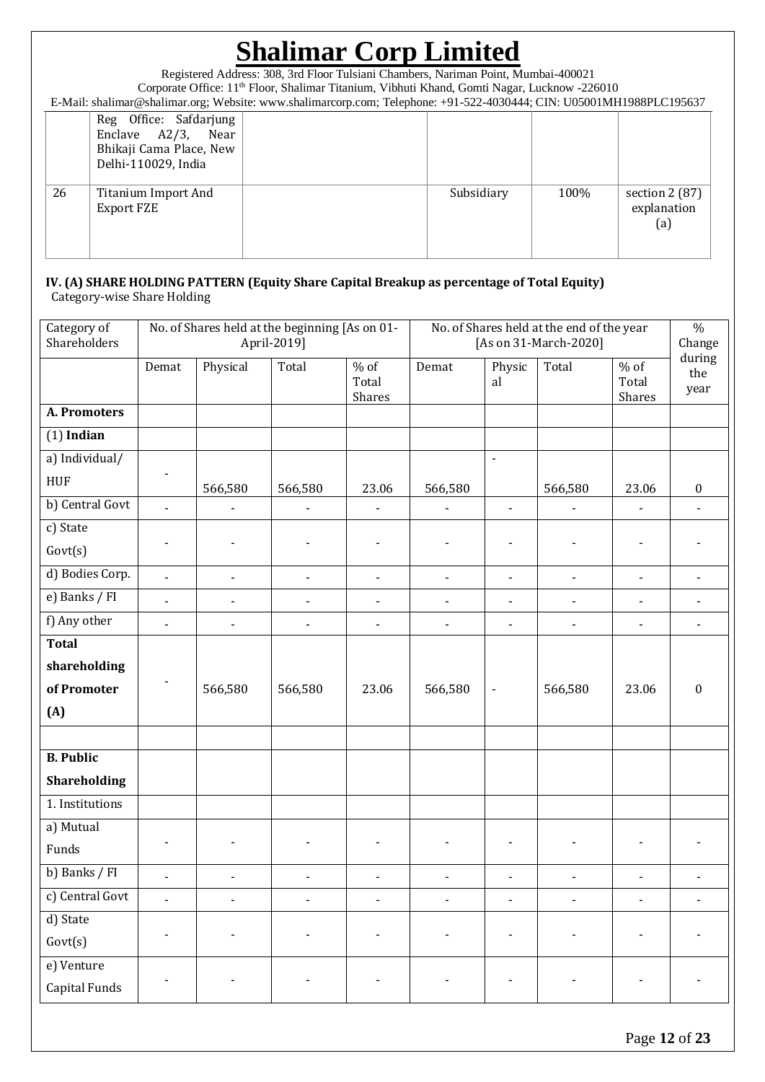Registered Address: 308, 3rd Floor Tulsiani Chambers, Nariman Point, Mumbai-400021 Corporate Office: 11th Floor, Shalimar Titanium, Vibhuti Khand, Gomti Nagar, Lucknow -226010 E-Mail: shalimar@shalimar.org; Website: www.shalimarcorp.com; Telephone: +91-522-4030444; CIN: U05001MH1988PLC195637

|    | $E$ man, shannial estimations, website. Www.shannia.corp.com, Telephone. 191322-10901111, CIT(. 0090011011119001 DC199091 |  |            |      |                                       |  |  |  |
|----|---------------------------------------------------------------------------------------------------------------------------|--|------------|------|---------------------------------------|--|--|--|
|    | Reg Office: Safdarjung<br>Enclave $A2/3$ ,<br>Near<br>Bhikaji Cama Place, New<br>Delhi-110029, India                      |  |            |      |                                       |  |  |  |
| 26 | Titanium Import And<br>Export FZE                                                                                         |  | Subsidiary | 100% | section $2(87)$<br>explanation<br>(a) |  |  |  |

#### **IV. (A) SHARE HOLDING PATTERN (Equity Share Capital Breakup as percentage of Total Equity)** Category-wise Share Holding

| Category of<br>Shareholders |                | No. of Shares held at the beginning [As on 01- | April-2019]    |                           |                | No. of Shares held at the end of the year<br>[As on 31-March-2020] |                          |                           | $\%$<br>Change<br>during |  |
|-----------------------------|----------------|------------------------------------------------|----------------|---------------------------|----------------|--------------------------------------------------------------------|--------------------------|---------------------------|--------------------------|--|
|                             | Demat          | Physical                                       | Total          | $%$ of<br>Total<br>Shares | Demat          | Physic<br>al                                                       | Total                    | $%$ of<br>Total<br>Shares | the<br>year              |  |
| <b>A. Promoters</b>         |                |                                                |                |                           |                |                                                                    |                          |                           |                          |  |
| $(1)$ Indian                |                |                                                |                |                           |                |                                                                    |                          |                           |                          |  |
| a) Individual/              |                |                                                |                |                           |                | $\blacksquare$                                                     |                          |                           |                          |  |
| <b>HUF</b>                  |                | 566,580                                        | 566,580        | 23.06                     | 566,580        |                                                                    | 566,580                  | 23.06                     | $\boldsymbol{0}$         |  |
| b) Central Govt             | $\overline{a}$ |                                                |                |                           |                | $\overline{\phantom{a}}$                                           |                          |                           |                          |  |
| c) State                    |                |                                                |                |                           |                |                                                                    |                          |                           |                          |  |
| Govt(s)                     |                |                                                |                |                           |                |                                                                    |                          | $\overline{\phantom{a}}$  |                          |  |
| d) Bodies Corp.             | $\overline{a}$ |                                                | $\blacksquare$ | $\blacksquare$            | $\blacksquare$ | $\blacksquare$                                                     |                          | $\blacksquare$            |                          |  |
| e) Banks / FI               | $\blacksquare$ |                                                | $\blacksquare$ | $\blacksquare$            | $\blacksquare$ | $\overline{\phantom{a}}$                                           | $\overline{\phantom{0}}$ | $\blacksquare$            |                          |  |
| f) Any other                | ä,             | $\overline{a}$                                 | $\blacksquare$ | $\blacksquare$            | $\blacksquare$ | $\blacksquare$                                                     |                          | $\blacksquare$            | $\overline{\phantom{a}}$ |  |
| <b>Total</b>                |                |                                                |                |                           |                |                                                                    |                          |                           |                          |  |
| shareholding                |                |                                                |                |                           |                |                                                                    |                          |                           |                          |  |
| of Promoter                 |                | 566,580                                        | 566,580        | 23.06                     | 566,580        | $\blacksquare$                                                     | 566,580                  | 23.06                     | $\boldsymbol{0}$         |  |
| (A)                         |                |                                                |                |                           |                |                                                                    |                          |                           |                          |  |
|                             |                |                                                |                |                           |                |                                                                    |                          |                           |                          |  |
| <b>B.</b> Public            |                |                                                |                |                           |                |                                                                    |                          |                           |                          |  |
| Shareholding                |                |                                                |                |                           |                |                                                                    |                          |                           |                          |  |
| 1. Institutions             |                |                                                |                |                           |                |                                                                    |                          |                           |                          |  |
| a) Mutual                   |                |                                                |                |                           |                |                                                                    |                          |                           |                          |  |
| Funds                       |                |                                                |                |                           |                |                                                                    |                          |                           |                          |  |
| b) Banks / FI               | $\blacksquare$ | $\blacksquare$                                 | $\blacksquare$ | $\blacksquare$            | $\blacksquare$ | L,                                                                 |                          | $\blacksquare$            | L,                       |  |
| c) Central Govt             | $\overline{a}$ | $\overline{a}$                                 | $\overline{a}$ | $\overline{a}$            | $\overline{a}$ | $\overline{a}$                                                     | $\overline{a}$           | $\overline{\phantom{a}}$  | $\frac{1}{2}$            |  |
| d) State                    |                |                                                |                |                           |                |                                                                    |                          |                           |                          |  |
| Govt(s)                     |                |                                                |                |                           |                | $\blacksquare$                                                     |                          |                           |                          |  |
| e) Venture                  |                |                                                |                |                           |                |                                                                    |                          |                           |                          |  |
| Capital Funds               |                |                                                |                |                           |                |                                                                    |                          |                           |                          |  |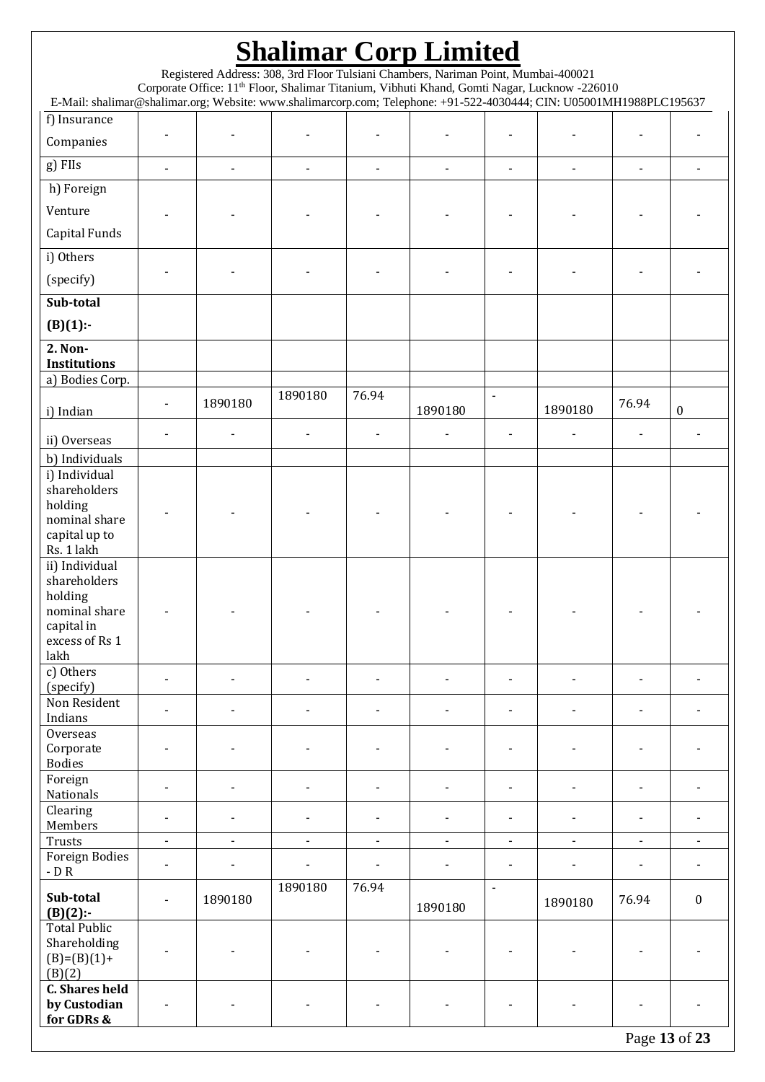| <b>Shalimar Corp Limited</b>                                                                                         |                                                                                                                                                                                                |                          |                          |                          |                |                          |                |                |                          |
|----------------------------------------------------------------------------------------------------------------------|------------------------------------------------------------------------------------------------------------------------------------------------------------------------------------------------|--------------------------|--------------------------|--------------------------|----------------|--------------------------|----------------|----------------|--------------------------|
|                                                                                                                      | Registered Address: 308, 3rd Floor Tulsiani Chambers, Nariman Point, Mumbai-400021<br>Corporate Office: 11 <sup>th</sup> Floor, Shalimar Titanium, Vibhuti Khand, Gomti Nagar, Lucknow -226010 |                          |                          |                          |                |                          |                |                |                          |
| E-Mail: shalimar@shalimar.org; Website: www.shalimarcorp.com; Telephone: +91-522-4030444; CIN: U05001MH1988PLC195637 |                                                                                                                                                                                                |                          |                          |                          |                |                          |                |                |                          |
| f) Insurance                                                                                                         |                                                                                                                                                                                                |                          |                          |                          |                |                          |                |                |                          |
| Companies                                                                                                            |                                                                                                                                                                                                |                          |                          |                          |                |                          |                |                |                          |
| g) FIIs                                                                                                              |                                                                                                                                                                                                | $\blacksquare$           | $\blacksquare$           | $\blacksquare$           |                |                          |                | $\overline{a}$ |                          |
| h) Foreign                                                                                                           |                                                                                                                                                                                                |                          |                          |                          |                |                          |                |                |                          |
| Venture                                                                                                              |                                                                                                                                                                                                |                          |                          |                          |                |                          |                |                |                          |
| Capital Funds                                                                                                        |                                                                                                                                                                                                |                          |                          |                          |                |                          |                |                |                          |
| i) Others                                                                                                            |                                                                                                                                                                                                |                          |                          |                          |                |                          |                |                |                          |
| (specify)                                                                                                            |                                                                                                                                                                                                |                          |                          |                          |                |                          |                |                |                          |
| Sub-total                                                                                                            |                                                                                                                                                                                                |                          |                          |                          |                |                          |                |                |                          |
| $(B)(1)$ :-                                                                                                          |                                                                                                                                                                                                |                          |                          |                          |                |                          |                |                |                          |
| 2. Non-<br><b>Institutions</b>                                                                                       |                                                                                                                                                                                                |                          |                          |                          |                |                          |                |                |                          |
| a) Bodies Corp.                                                                                                      |                                                                                                                                                                                                |                          |                          |                          |                |                          |                |                |                          |
| i) Indian                                                                                                            |                                                                                                                                                                                                | 1890180                  | 1890180                  | 76.94                    | 1890180        | $\blacksquare$           | 1890180        | 76.94          | $\boldsymbol{0}$         |
| ii) Overseas                                                                                                         |                                                                                                                                                                                                |                          |                          |                          |                |                          |                |                |                          |
| b) Individuals                                                                                                       |                                                                                                                                                                                                |                          |                          |                          |                |                          |                |                |                          |
| i) Individual                                                                                                        |                                                                                                                                                                                                |                          |                          |                          |                |                          |                |                |                          |
| shareholders<br>holding                                                                                              |                                                                                                                                                                                                |                          |                          |                          |                |                          |                |                |                          |
| nominal share                                                                                                        |                                                                                                                                                                                                |                          |                          |                          |                |                          |                |                |                          |
| capital up to<br>Rs. 1 lakh                                                                                          |                                                                                                                                                                                                |                          |                          |                          |                |                          |                |                |                          |
| ii) Individual                                                                                                       |                                                                                                                                                                                                |                          |                          |                          |                |                          |                |                |                          |
| shareholders<br>holding                                                                                              |                                                                                                                                                                                                |                          |                          |                          |                |                          |                |                |                          |
| nominal share                                                                                                        |                                                                                                                                                                                                |                          |                          |                          |                |                          |                |                |                          |
| capital in<br>excess of Rs 1                                                                                         |                                                                                                                                                                                                |                          |                          |                          |                |                          |                |                |                          |
| lakh                                                                                                                 |                                                                                                                                                                                                |                          |                          |                          |                |                          |                |                |                          |
| c) Others                                                                                                            | $\blacksquare$                                                                                                                                                                                 | $\overline{\phantom{a}}$ | $\blacksquare$           | $\blacksquare$           |                | $\blacksquare$           | $\blacksquare$ | $\blacksquare$ |                          |
| (specify)<br>Non Resident                                                                                            |                                                                                                                                                                                                |                          |                          |                          |                |                          |                |                |                          |
| Indians                                                                                                              | $\overline{\phantom{a}}$                                                                                                                                                                       | $\overline{\phantom{a}}$ | $\blacksquare$           | $\blacksquare$           |                | $\overline{\phantom{a}}$ | $\blacksquare$ | $\blacksquare$ | $\blacksquare$           |
| Overseas<br>Corporate                                                                                                |                                                                                                                                                                                                |                          |                          |                          |                |                          |                |                |                          |
| <b>Bodies</b>                                                                                                        |                                                                                                                                                                                                |                          |                          |                          |                |                          |                |                |                          |
| Foreign<br>Nationals                                                                                                 | $\overline{\phantom{a}}$                                                                                                                                                                       | $\blacksquare$           | $\overline{\phantom{a}}$ | $\overline{\phantom{0}}$ |                |                          |                | $\blacksquare$ |                          |
| Clearing                                                                                                             | $\blacksquare$                                                                                                                                                                                 | $\blacksquare$           | $\blacksquare$           | $\blacksquare$           |                | $\blacksquare$           | $\blacksquare$ | $\blacksquare$ | $\blacksquare$           |
| Members                                                                                                              |                                                                                                                                                                                                |                          |                          |                          |                |                          |                |                |                          |
| Trusts<br><b>Foreign Bodies</b>                                                                                      | $\blacksquare$                                                                                                                                                                                 | $\blacksquare$           | $\blacksquare$           | $\blacksquare$           | $\blacksquare$ | $\blacksquare$           | $\blacksquare$ | $\blacksquare$ | $\blacksquare$           |
| - D $R$                                                                                                              | $\overline{\phantom{a}}$                                                                                                                                                                       | $\overline{\phantom{a}}$ | $\blacksquare$           | $\overline{\phantom{a}}$ |                | $\overline{\phantom{a}}$ | $\blacksquare$ | $\blacksquare$ | $\overline{\phantom{a}}$ |
| Sub-total<br>$(B)(2)$ :-                                                                                             | $\blacksquare$                                                                                                                                                                                 | 1890180                  | 1890180                  | 76.94                    | 1890180        | $\blacksquare$           | 1890180        | 76.94          | $\boldsymbol{0}$         |
| <b>Total Public</b>                                                                                                  |                                                                                                                                                                                                |                          |                          |                          |                |                          |                |                |                          |
| Shareholding<br>$(B)=(B)(1)+$                                                                                        |                                                                                                                                                                                                |                          |                          |                          |                |                          |                |                |                          |
| (B)(2)                                                                                                               |                                                                                                                                                                                                |                          |                          |                          |                |                          |                |                |                          |
| <b>C. Shares held</b><br>by Custodian                                                                                |                                                                                                                                                                                                |                          |                          |                          |                |                          |                |                |                          |
| for GDRs &                                                                                                           |                                                                                                                                                                                                |                          |                          |                          |                |                          |                |                |                          |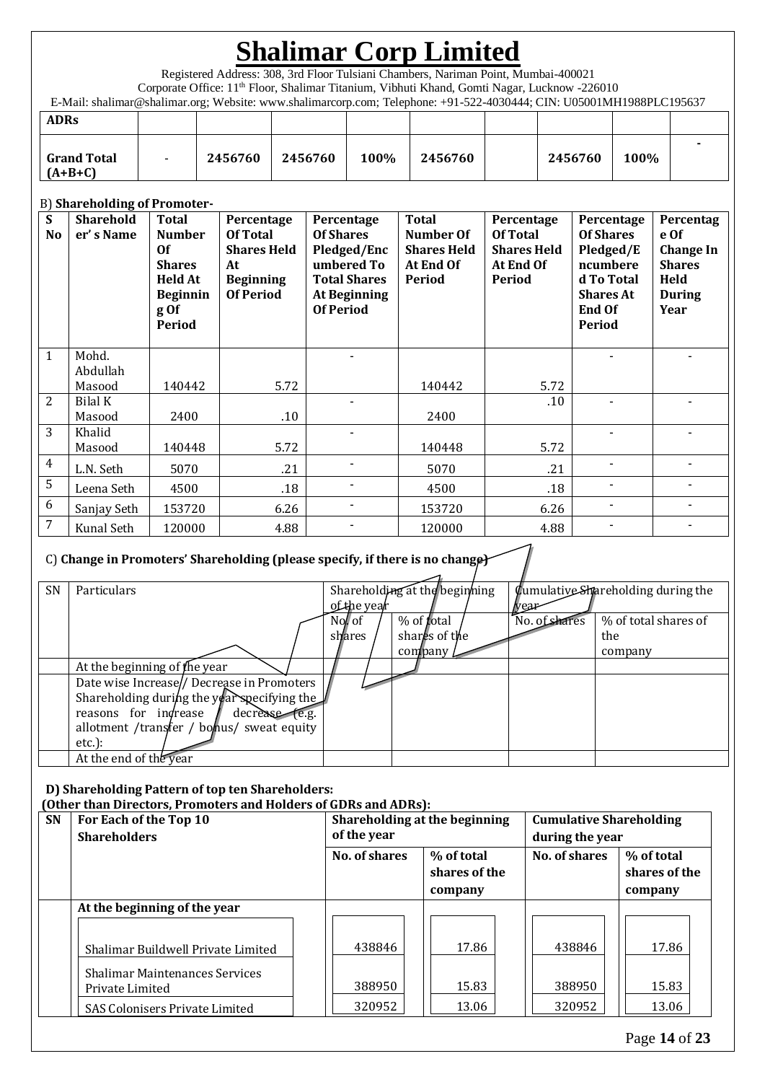Registered Address: 308, 3rd Floor Tulsiani Chambers, Nariman Point, Mumbai-400021

Corporate Office: 11th Floor, Shalimar Titanium, Vibhuti Khand, Gomti Nagar, Lucknow -226010

E-Mail: shalimar@shalimar.org; Website: www.shalimarcorp.com; Telephone: +91-522-4030444; CIN: U05001MH1988PLC195637

| <b>ADRs</b>                     |         |         |      |         |         |      |  |
|---------------------------------|---------|---------|------|---------|---------|------|--|
| <b>Grand Total</b><br>$(A+B+C)$ | 2456760 | 2456760 | 100% | 2456760 | 2456760 | 100% |  |

### B) **Shareholding of Promoter-**

| S<br>N <sub>o</sub> | <b>Sharehold</b><br>er's Name | <b>Total</b><br><b>Number</b><br>0f<br><b>Shares</b><br><b>Held At</b><br><b>Beginnin</b><br>g Of<br>Period | Percentage<br>Of Total<br><b>Shares Held</b><br>At<br><b>Beginning</b><br><b>Of Period</b> | Percentage<br><b>Of Shares</b><br>Pledged/Enc<br>umbered To<br><b>Total Shares</b><br><b>At Beginning</b><br><b>Of Period</b> | <b>Total</b><br>Number Of<br><b>Shares Held</b><br>At End Of<br>Period | Percentage<br>Of Total<br><b>Shares Held</b><br>At End Of<br>Period | Percentage<br><b>Of Shares</b><br>Pledged/E<br>ncumbere<br>d To Total<br><b>Shares At</b><br><b>End Of</b><br>Period | Percentag<br>e Of<br><b>Change In</b><br><b>Shares</b><br>Held<br><b>During</b><br>Year |
|---------------------|-------------------------------|-------------------------------------------------------------------------------------------------------------|--------------------------------------------------------------------------------------------|-------------------------------------------------------------------------------------------------------------------------------|------------------------------------------------------------------------|---------------------------------------------------------------------|----------------------------------------------------------------------------------------------------------------------|-----------------------------------------------------------------------------------------|
| $\mathbf{1}$        | Mohd.<br>Abdullah             |                                                                                                             |                                                                                            |                                                                                                                               |                                                                        |                                                                     |                                                                                                                      |                                                                                         |
|                     | Masood                        | 140442                                                                                                      | 5.72                                                                                       |                                                                                                                               | 140442                                                                 | 5.72                                                                |                                                                                                                      |                                                                                         |
| 2                   | Bilal K                       |                                                                                                             |                                                                                            |                                                                                                                               |                                                                        | .10                                                                 |                                                                                                                      |                                                                                         |
|                     | Masood                        | 2400                                                                                                        | .10                                                                                        |                                                                                                                               | 2400                                                                   |                                                                     |                                                                                                                      |                                                                                         |
| 3                   | Khalid<br>Masood              | 140448                                                                                                      | 5.72                                                                                       |                                                                                                                               | 140448                                                                 | 5.72                                                                |                                                                                                                      |                                                                                         |
| 4                   | L.N. Seth                     | 5070                                                                                                        | .21                                                                                        |                                                                                                                               | 5070                                                                   | .21                                                                 |                                                                                                                      |                                                                                         |
| 5                   | Leena Seth                    | 4500                                                                                                        | .18                                                                                        |                                                                                                                               | 4500                                                                   | .18                                                                 |                                                                                                                      |                                                                                         |
| 6                   | Sanjay Seth                   | 153720                                                                                                      | 6.26                                                                                       |                                                                                                                               | 153720                                                                 | 6.26                                                                |                                                                                                                      |                                                                                         |
| 7                   | Kunal Seth                    | 120000                                                                                                      | 4.88                                                                                       |                                                                                                                               | 120000                                                                 | 4.88                                                                |                                                                                                                      |                                                                                         |

### C) **Change in Promoters' Shareholding (please specify, if there is no change)**

| SN | Particulars                                 |             | Shareholding at the beginning |               | <b>Cumulative Shareholding during the</b> |
|----|---------------------------------------------|-------------|-------------------------------|---------------|-------------------------------------------|
|    |                                             | of the year |                               | wea           |                                           |
|    |                                             | No of       | % of <b>f</b> otal            | No. of shares | % of total shares of                      |
|    |                                             | shares      | shares of the                 |               | the                                       |
|    |                                             |             | company                       |               | company                                   |
|    | At the beginning of the year                |             |                               |               |                                           |
|    | Date wise Increase// Decrease in Promoters  |             |                               |               |                                           |
|    | Shareholding during the year specifying the |             |                               |               |                                           |
|    | reasons for indrease<br>decrease (e.g.      |             |                               |               |                                           |
|    | allotment /transfer / bonus/ sweat equity   |             |                               |               |                                           |
|    | $etc.$ ):                                   |             |                               |               |                                           |
|    | At the end of the year                      |             |                               |               |                                           |

### **D) Shareholding Pattern of top ten Shareholders:**

 **(Other than Directors, Promoters and Holders of GDRs and ADRs):**

| <b>SN</b> | For Each of the Top 10<br><b>Shareholders</b>            | Shareholding at the beginning<br>of the year |                                        | <b>Cumulative Shareholding</b><br>during the year |                                        |  |
|-----------|----------------------------------------------------------|----------------------------------------------|----------------------------------------|---------------------------------------------------|----------------------------------------|--|
|           |                                                          | <b>No. of shares</b>                         | % of total<br>shares of the<br>company | <b>No. of shares</b>                              | % of total<br>shares of the<br>company |  |
|           | At the beginning of the year                             |                                              |                                        |                                                   |                                        |  |
|           | Shalimar Buildwell Private Limited                       | 438846                                       | 17.86                                  | 438846                                            | 17.86                                  |  |
|           | <b>Shalimar Maintenances Services</b><br>Private Limited | 388950                                       | 15.83                                  | 388950                                            | 15.83                                  |  |
|           | SAS Colonisers Private Limited                           | 320952                                       | 13.06                                  | 320952                                            | 13.06                                  |  |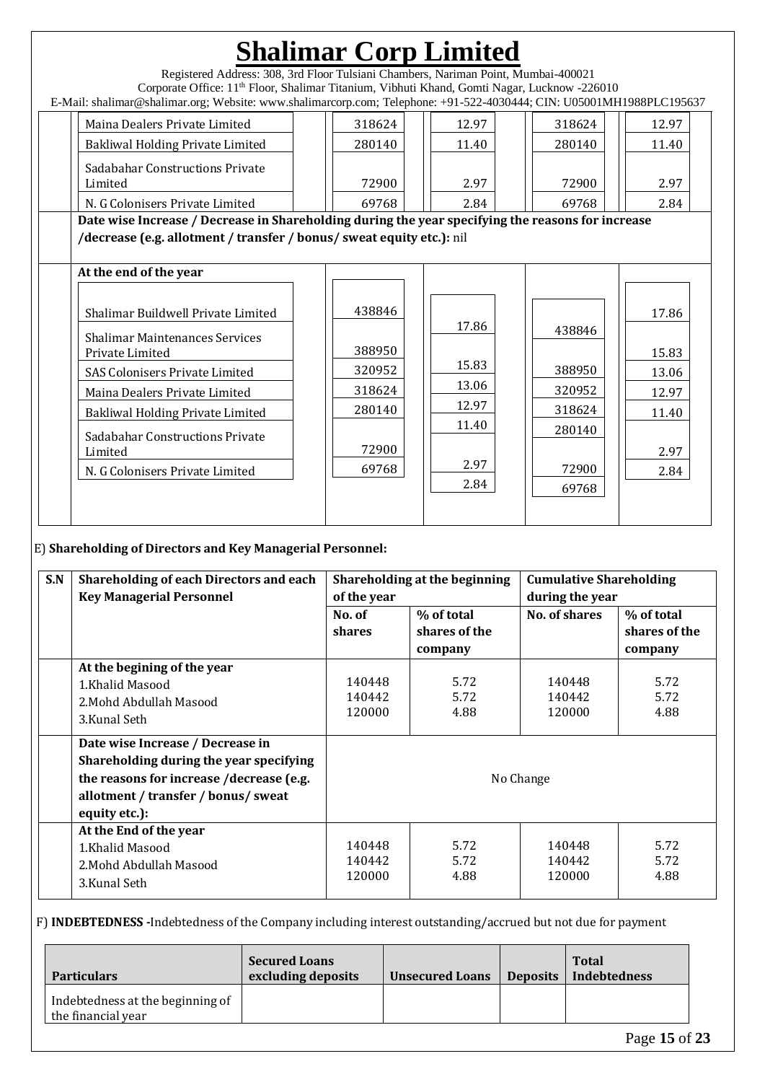| Registered Address: 308, 3rd Floor Tulsiani Chambers, Nariman Point, Mumbai-400021<br>Corporate Office: 11 <sup>th</sup> Floor, Shalimar Titanium, Vibhuti Khand, Gomti Nagar, Lucknow -226010<br>E-Mail: shalimar@shalimar.org; Website: www.shalimarcorp.com; Telephone: +91-522-4030444; CIN: U05001MH1988PLC195637                  |                                                                  | <b>Shalimar Corp Limited</b>                              |                                                                  |                                                           |
|-----------------------------------------------------------------------------------------------------------------------------------------------------------------------------------------------------------------------------------------------------------------------------------------------------------------------------------------|------------------------------------------------------------------|-----------------------------------------------------------|------------------------------------------------------------------|-----------------------------------------------------------|
| Maina Dealers Private Limited<br>Bakliwal Holding Private Limited<br><b>Sadabahar Constructions Private</b><br>Limited<br>N. G Colonisers Private Limited<br>Date wise Increase / Decrease in Shareholding during the year specifying the reasons for increase<br>/decrease (e.g. allotment / transfer / bonus/ sweat equity etc.): nil | 318624<br>280140<br>72900<br>69768                               | 12.97<br>11.40<br>2.97<br>2.84                            | 318624<br>280140<br>72900<br>69768                               | 12.97<br>11.40<br>2.97<br>2.84                            |
| At the end of the year<br>Shalimar Buildwell Private Limited<br><b>Shalimar Maintenances Services</b><br>Private Limited<br><b>SAS Colonisers Private Limited</b><br>Maina Dealers Private Limited<br><b>Bakliwal Holding Private Limited</b><br>Sadabahar Constructions Private<br>Limited<br>N. G Colonisers Private Limited          | 438846<br>388950<br>320952<br>318624<br>280140<br>72900<br>69768 | 17.86<br>15.83<br>13.06<br>12.97<br>11.40<br>2.97<br>2.84 | 438846<br>388950<br>320952<br>318624<br>280140<br>72900<br>69768 | 17.86<br>15.83<br>13.06<br>12.97<br>11.40<br>2.97<br>2.84 |

### E) **Shareholding of Directors and Key Managerial Personnel:**

| S.N | <b>Shareholding of each Directors and each</b><br><b>Key Managerial Personnel</b>                                                                                               | of the year                | Shareholding at the beginning          |                            | <b>Cumulative Shareholding</b><br>during the year |  |  |
|-----|---------------------------------------------------------------------------------------------------------------------------------------------------------------------------------|----------------------------|----------------------------------------|----------------------------|---------------------------------------------------|--|--|
|     |                                                                                                                                                                                 | No. of<br>shares           | % of total<br>shares of the<br>company | No. of shares              | % of total<br>shares of the<br>company            |  |  |
|     | At the begining of the year<br>1.Khalid Masood<br>2. Mohd Abdullah Masood<br>3.Kunal Seth                                                                                       | 140448<br>140442<br>120000 | 5.72<br>5.72<br>4.88                   | 140448<br>140442<br>120000 | 5.72<br>5.72<br>4.88                              |  |  |
|     | Date wise Increase / Decrease in<br>Shareholding during the year specifying<br>the reasons for increase /decrease (e.g.<br>allotment / transfer / bonus/ sweat<br>equity etc.): | No Change                  |                                        |                            |                                                   |  |  |
|     | At the End of the year<br>1.Khalid Masood<br>2. Mohd Abdullah Masood<br>3.Kunal Seth                                                                                            | 140448<br>140442<br>120000 | 5.72<br>5.72<br>4.88                   | 140448<br>140442<br>120000 | 5.72<br>5.72<br>4.88                              |  |  |

### F) **INDEBTEDNESS -**Indebtedness of the Company including interest outstanding/accrued but not due for payment

| <b>Particulars</b>                                     | <b>Secured Loans</b><br>excluding deposits | <b>Unsecured Loans</b> | Deposits | <b>Total</b><br>Indebtedness |
|--------------------------------------------------------|--------------------------------------------|------------------------|----------|------------------------------|
| Indebtedness at the beginning of<br>the financial year |                                            |                        |          |                              |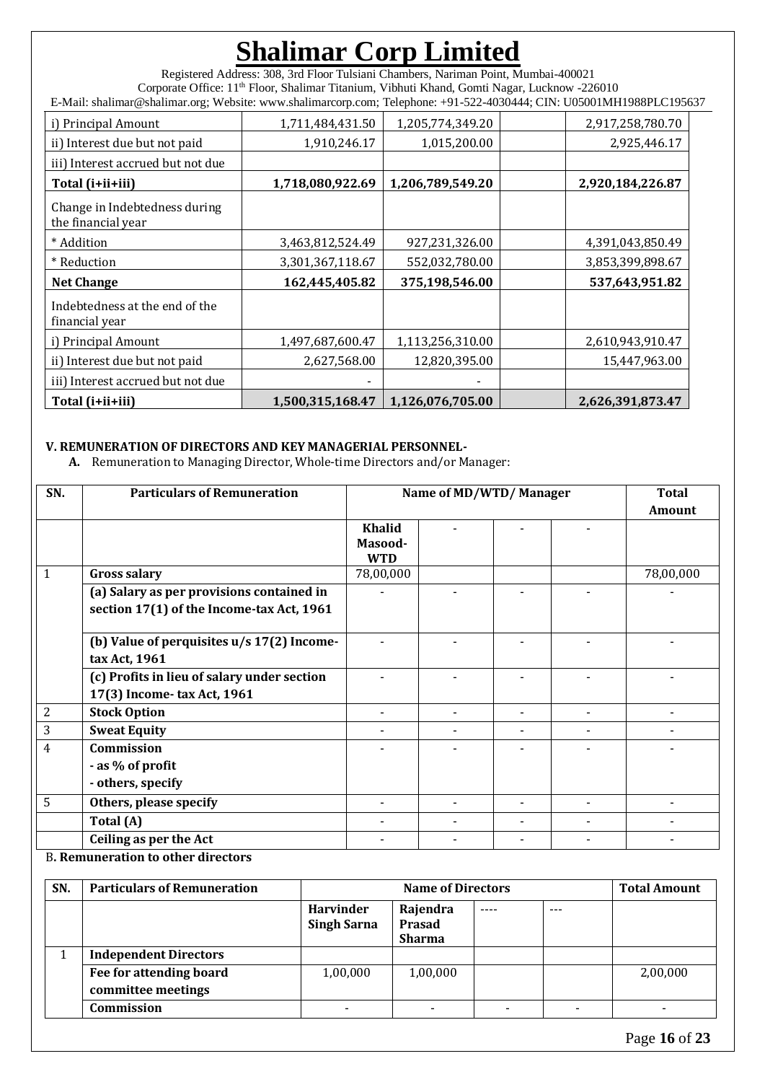Registered Address: 308, 3rd Floor Tulsiani Chambers, Nariman Point, Mumbai-400021 Corporate Office: 11th Floor, Shalimar Titanium, Vibhuti Khand, Gomti Nagar, Lucknow -226010 E-Mail: shalimar@shalimar.org; Website: www.shalimarcorp.com; Telephone: +91-522-4030444; CIN: U05001MH1988PLC195637

| i) Principal Amount                                 | 1,711,484,431.50 | 1,205,774,349.20 | 2,917,258,780.70 |
|-----------------------------------------------------|------------------|------------------|------------------|
| ii) Interest due but not paid                       | 1,910,246.17     | 1,015,200.00     | 2,925,446.17     |
| iii) Interest accrued but not due                   |                  |                  |                  |
| Total (i+ii+iii)                                    | 1,718,080,922.69 | 1,206,789,549.20 | 2,920,184,226.87 |
| Change in Indebtedness during<br>the financial year |                  |                  |                  |
| * Addition                                          | 3,463,812,524.49 | 927,231,326.00   | 4,391,043,850.49 |
| * Reduction                                         | 3,301,367,118.67 | 552,032,780.00   | 3,853,399,898.67 |
| <b>Net Change</b>                                   | 162,445,405.82   | 375,198,546.00   | 537,643,951.82   |
| Indebtedness at the end of the<br>financial year    |                  |                  |                  |
| i) Principal Amount                                 | 1,497,687,600.47 | 1,113,256,310.00 | 2,610,943,910.47 |
| ii) Interest due but not paid                       | 2,627,568.00     | 12,820,395.00    | 15,447,963.00    |
| iii) Interest accrued but not due                   |                  |                  |                  |
| Total (i+ii+iii)                                    | 1,500,315,168.47 | 1,126,076,705.00 | 2,626,391,873.47 |

### **V. REMUNERATION OF DIRECTORS AND KEY MANAGERIAL PERSONNEL-**

**A.** Remuneration to Managing Director, Whole-time Directors and/or Manager:

| SN. | <b>Particulars of Remuneration</b>                          | Name of MD/WTD/Manager |  |  |   | <b>Total</b> |  |
|-----|-------------------------------------------------------------|------------------------|--|--|---|--------------|--|
|     |                                                             |                        |  |  |   |              |  |
|     |                                                             | <b>Khalid</b>          |  |  |   |              |  |
|     |                                                             | Masood-<br><b>WTD</b>  |  |  |   |              |  |
| 1   | <b>Gross salary</b>                                         | 78,00,000              |  |  |   | 78,00,000    |  |
|     | (a) Salary as per provisions contained in                   |                        |  |  |   |              |  |
|     | section 17(1) of the Income-tax Act, 1961                   |                        |  |  |   |              |  |
|     | (b) Value of perquisites u/s 17(2) Income-<br>tax Act, 1961 |                        |  |  |   |              |  |
|     | (c) Profits in lieu of salary under section                 |                        |  |  |   |              |  |
|     | 17(3) Income-tax Act, 1961                                  |                        |  |  |   |              |  |
| 2   | <b>Stock Option</b>                                         |                        |  |  | ۰ |              |  |
| 3   | <b>Sweat Equity</b>                                         |                        |  |  |   |              |  |
| 4   | Commission                                                  |                        |  |  |   |              |  |
|     | - as % of profit                                            |                        |  |  |   |              |  |
|     | - others, specify                                           |                        |  |  |   |              |  |
| 5   | Others, please specify                                      |                        |  |  |   |              |  |
|     | Total (A)                                                   |                        |  |  |   |              |  |
|     | Ceiling as per the Act                                      |                        |  |  |   |              |  |

B**. Remuneration to other directors**

| SN. | <b>Particulars of Remuneration</b>            | <b>Name of Directors</b>               |                                            |           |         | <b>Total Amount</b> |
|-----|-----------------------------------------------|----------------------------------------|--------------------------------------------|-----------|---------|---------------------|
|     |                                               | <b>Harvinder</b><br><b>Singh Sarna</b> | Rajendra<br><b>Prasad</b><br><b>Sharma</b> | $- - - -$ | $- - -$ |                     |
|     | <b>Independent Directors</b>                  |                                        |                                            |           |         |                     |
|     | Fee for attending board<br>committee meetings | 1,00,000                               | 1,00,000                                   |           |         | 2,00,000            |
|     | Commission                                    |                                        |                                            |           |         |                     |